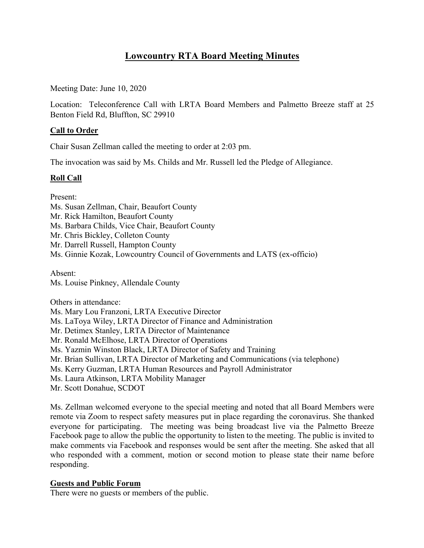# **Lowcountry RTA Board Meeting Minutes**

Meeting Date: June 10, 2020

Location: Teleconference Call with LRTA Board Members and Palmetto Breeze staff at 25 Benton Field Rd, Bluffton, SC 29910

# **Call to Order**

Chair Susan Zellman called the meeting to order at 2:03 pm.

The invocation was said by Ms. Childs and Mr. Russell led the Pledge of Allegiance.

## **Roll Call**

Present:

Ms. Susan Zellman, Chair, Beaufort County

Mr. Rick Hamilton, Beaufort County

Ms. Barbara Childs, Vice Chair, Beaufort County

Mr. Chris Bickley, Colleton County

Mr. Darrell Russell, Hampton County

Ms. Ginnie Kozak, Lowcountry Council of Governments and LATS (ex-officio)

Absent: Ms. Louise Pinkney, Allendale County

Others in attendance:

Ms. Mary Lou Franzoni, LRTA Executive Director

Ms. LaToya Wiley, LRTA Director of Finance and Administration

Mr. Detimex Stanley, LRTA Director of Maintenance

Mr. Ronald McElhose, LRTA Director of Operations

Ms. Yazmin Winston Black, LRTA Director of Safety and Training

Mr. Brian Sullivan, LRTA Director of Marketing and Communications (via telephone)

Ms. Kerry Guzman, LRTA Human Resources and Payroll Administrator

Ms. Laura Atkinson, LRTA Mobility Manager

Mr. Scott Donahue, SCDOT

Ms. Zellman welcomed everyone to the special meeting and noted that all Board Members were remote via Zoom to respect safety measures put in place regarding the coronavirus. She thanked everyone for participating. The meeting was being broadcast live via the Palmetto Breeze Facebook page to allow the public the opportunity to listen to the meeting. The public is invited to make comments via Facebook and responses would be sent after the meeting. She asked that all who responded with a comment, motion or second motion to please state their name before responding.

# **Guests and Public Forum**

There were no guests or members of the public.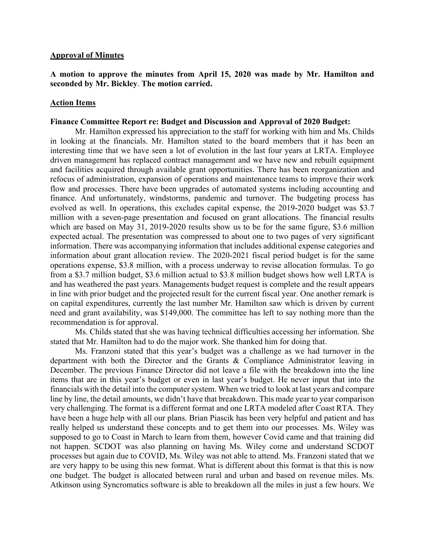#### **Approval of Minutes**

## **A motion to approve the minutes from April 15, 2020 was made by Mr. Hamilton and seconded by Mr. Bickley**. **The motion carried.**

### **Action Items**

#### **Finance Committee Report re: Budget and Discussion and Approval of 2020 Budget:**

Mr. Hamilton expressed his appreciation to the staff for working with him and Ms. Childs in looking at the financials. Mr. Hamilton stated to the board members that it has been an interesting time that we have seen a lot of evolution in the last four years at LRTA. Employee driven management has replaced contract management and we have new and rebuilt equipment and facilities acquired through available grant opportunities. There has been reorganization and refocus of administration, expansion of operations and maintenance teams to improve their work flow and processes. There have been upgrades of automated systems including accounting and finance. And unfortunately, windstorms, pandemic and turnover. The budgeting process has evolved as well. In operations, this excludes capital expense, the 2019-2020 budget was \$3.7 million with a seven-page presentation and focused on grant allocations. The financial results which are based on May 31, 2019-2020 results show us to be for the same figure, \$3.6 million expected actual. The presentation was compressed to about one to two pages of very significant information. There was accompanying information that includes additional expense categories and information about grant allocation review. The 2020-2021 fiscal period budget is for the same operations expense, \$3.8 million, with a process underway to revise allocation formulas. To go from a \$3.7 million budget, \$3.6 million actual to \$3.8 million budget shows how well LRTA is and has weathered the past years. Managements budget request is complete and the result appears in line with prior budget and the projected result for the current fiscal year. One another remark is on capital expenditures, currently the last number Mr. Hamilton saw which is driven by current need and grant availability, was \$149,000. The committee has left to say nothing more than the recommendation is for approval.

Ms. Childs stated that she was having technical difficulties accessing her information. She stated that Mr. Hamilton had to do the major work. She thanked him for doing that.

Ms. Franzoni stated that this year's budget was a challenge as we had turnover in the department with both the Director and the Grants & Compliance Administrator leaving in December. The previous Finance Director did not leave a file with the breakdown into the line items that are in this year's budget or even in last year's budget. He never input that into the financials with the detail into the computer system. When we tried to look at last years and compare line by line, the detail amounts, we didn't have that breakdown. This made year to year comparison very challenging. The format is a different format and one LRTA modeled after Coast RTA. They have been a huge help with all our plans. Brian Piascik has been very helpful and patient and has really helped us understand these concepts and to get them into our processes. Ms. Wiley was supposed to go to Coast in March to learn from them, however Covid came and that training did not happen. SCDOT was also planning on having Ms. Wiley come and understand SCDOT processes but again due to COVID, Ms. Wiley was not able to attend. Ms. Franzoni stated that we are very happy to be using this new format. What is different about this format is that this is now one budget. The budget is allocated between rural and urban and based on revenue miles. Ms. Atkinson using Syncromatics software is able to breakdown all the miles in just a few hours. We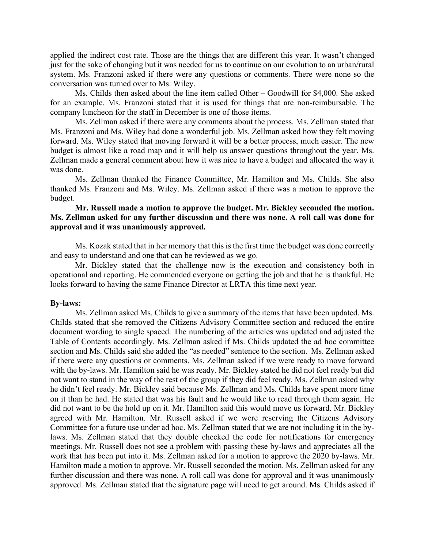applied the indirect cost rate. Those are the things that are different this year. It wasn't changed just for the sake of changing but it was needed for us to continue on our evolution to an urban/rural system. Ms. Franzoni asked if there were any questions or comments. There were none so the conversation was turned over to Ms. Wiley.

Ms. Childs then asked about the line item called Other – Goodwill for \$4,000. She asked for an example. Ms. Franzoni stated that it is used for things that are non-reimbursable. The company luncheon for the staff in December is one of those items.

Ms. Zellman asked if there were any comments about the process. Ms. Zellman stated that Ms. Franzoni and Ms. Wiley had done a wonderful job. Ms. Zellman asked how they felt moving forward. Ms. Wiley stated that moving forward it will be a better process, much easier. The new budget is almost like a road map and it will help us answer questions throughout the year. Ms. Zellman made a general comment about how it was nice to have a budget and allocated the way it was done.

Ms. Zellman thanked the Finance Committee, Mr. Hamilton and Ms. Childs. She also thanked Ms. Franzoni and Ms. Wiley. Ms. Zellman asked if there was a motion to approve the budget.

## **Mr. Russell made a motion to approve the budget. Mr. Bickley seconded the motion. Ms. Zellman asked for any further discussion and there was none. A roll call was done for approval and it was unanimously approved.**

Ms. Kozak stated that in her memory that this is the first time the budget was done correctly and easy to understand and one that can be reviewed as we go.

Mr. Bickley stated that the challenge now is the execution and consistency both in operational and reporting. He commended everyone on getting the job and that he is thankful. He looks forward to having the same Finance Director at LRTA this time next year.

#### **By-laws:**

Ms. Zellman asked Ms. Childs to give a summary of the items that have been updated. Ms. Childs stated that she removed the Citizens Advisory Committee section and reduced the entire document wording to single spaced. The numbering of the articles was updated and adjusted the Table of Contents accordingly. Ms. Zellman asked if Ms. Childs updated the ad hoc committee section and Ms. Childs said she added the "as needed" sentence to the section. Ms. Zellman asked if there were any questions or comments. Ms. Zellman asked if we were ready to move forward with the by-laws. Mr. Hamilton said he was ready. Mr. Bickley stated he did not feel ready but did not want to stand in the way of the rest of the group if they did feel ready. Ms. Zellman asked why he didn't feel ready. Mr. Bickley said because Ms. Zellman and Ms. Childs have spent more time on it than he had. He stated that was his fault and he would like to read through them again. He did not want to be the hold up on it. Mr. Hamilton said this would move us forward. Mr. Bickley agreed with Mr. Hamilton. Mr. Russell asked if we were reserving the Citizens Advisory Committee for a future use under ad hoc. Ms. Zellman stated that we are not including it in the bylaws. Ms. Zellman stated that they double checked the code for notifications for emergency meetings. Mr. Russell does not see a problem with passing these by-laws and appreciates all the work that has been put into it. Ms. Zellman asked for a motion to approve the 2020 by-laws. Mr. Hamilton made a motion to approve. Mr. Russell seconded the motion. Ms. Zellman asked for any further discussion and there was none. A roll call was done for approval and it was unanimously approved. Ms. Zellman stated that the signature page will need to get around. Ms. Childs asked if